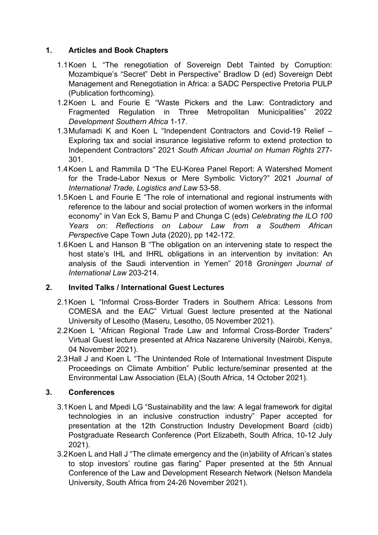## **1. Articles and Book Chapters**

- 1.1Koen L "The renegotiation of Sovereign Debt Tainted by Corruption: Mozambique's "Secret" Debt in Perspective" Bradlow D (ed) Sovereign Debt Management and Renegotiation in Africa: a SADC Perspective Pretoria PULP (Publication forthcoming).
- 1.2Koen L and Fourie E "Waste Pickers and the Law: Contradictory and Fragmented Regulation in Three Metropolitan Municipalities" 2022 *Development Southern Africa* 1-17.
- 1.3Mufamadi K and Koen L "Independent Contractors and Covid-19 Relief Exploring tax and social insurance legislative reform to extend protection to Independent Contractors" 2021 *South African Journal on Human Rights* 277- 301.
- 1.4Koen L and Rammila D "The EU-Korea Panel Report: A Watershed Moment for the Trade-Labor Nexus or Mere Symbolic Victory?" 2021 *Journal of International Trade, Logistics and Law* 53-58.
- 1.5Koen L and Fourie E "The role of international and regional instruments with reference to the labour and social protection of women workers in the informal economy" in Van Eck S, Bamu P and Chunga C (eds) *Celebrating the ILO 100 Years on: Reflections on Labour Law from a Southern African Perspective* Cape Town Juta (2020), pp 142-172.
- 1.6Koen L and Hanson B "The obligation on an intervening state to respect the host state's IHL and IHRL obligations in an intervention by invitation: An analysis of the Saudi intervention in Yemen" 2018 *Groningen Journal of International Law* 203-214.

## **2. Invited Talks / International Guest Lectures**

- 2.1Koen L "Informal Cross-Border Traders in Southern Africa: Lessons from COMESA and the EAC" Virtual Guest lecture presented at the National University of Lesotho (Maseru, Lesotho, 05 November 2021).
- 2.2Koen L "African Regional Trade Law and Informal Cross-Border Traders" Virtual Guest lecture presented at Africa Nazarene University (Nairobi, Kenya, 04 November 2021).
- 2.3Hall J and Koen L "The Unintended Role of International Investment Dispute Proceedings on Climate Ambition" Public lecture/seminar presented at the Environmental Law Association (ELA) (South Africa, 14 October 2021).

## **3. Conferences**

- 3.1Koen L and Mpedi LG "Sustainability and the law: A legal framework for digital technologies in an inclusive construction industry" Paper accepted for presentation at the 12th Construction Industry Development Board (cidb) Postgraduate Research Conference (Port Elizabeth, South Africa, 10-12 July 2021).
- 3.2Koen L and Hall J "The climate emergency and the (in)ability of African's states to stop investors' routine gas flaring" Paper presented at the 5th Annual Conference of the Law and Development Research Network (Nelson Mandela University, South Africa from 24-26 November 2021).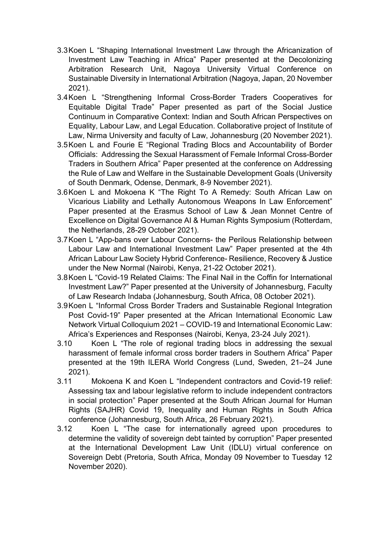- 3.3Koen L "Shaping International Investment Law through the Africanization of Investment Law Teaching in Africa" Paper presented at the Decolonizing Arbitration Research Unit, Nagoya University Virtual Conference on Sustainable Diversity in International Arbitration (Nagoya, Japan, 20 November 2021).
- 3.4Koen L "Strengthening Informal Cross-Border Traders Cooperatives for Equitable Digital Trade" Paper presented as part of the Social Justice Continuum in Comparative Context: Indian and South African Perspectives on Equality, Labour Law, and Legal Education. Collaborative project of Institute of Law, Nirma University and faculty of Law, Johannesburg (20 November 2021).
- 3.5Koen L and Fourie E "Regional Trading Blocs and Accountability of Border Officials: Addressing the Sexual Harassment of Female Informal Cross-Border Traders in Southern Africa" Paper presented at the conference on Addressing the Rule of Law and Welfare in the Sustainable Development Goals (University of South Denmark, Odense, Denmark, 8-9 November 2021).
- 3.6Koen L and Mokoena K "The Right To A Remedy: South African Law on Vicarious Liability and Lethally Autonomous Weapons In Law Enforcement" Paper presented at the Erasmus School of Law & Jean Monnet Centre of Excellence on Digital Governance AI & Human Rights Symposium (Rotterdam, the Netherlands, 28-29 October 2021).
- 3.7Koen L "App-bans over Labour Concerns- the Perilous Relationship between Labour Law and International Investment Law" Paper presented at the 4th African Labour Law Society Hybrid Conference- Resilience, Recovery & Justice under the New Normal (Nairobi, Kenya, 21-22 October 2021).
- 3.8Koen L "Covid-19 Related Claims: The Final Nail in the Coffin for International Investment Law?" Paper presented at the University of Johannesburg, Faculty of Law Research Indaba (Johannesburg, South Africa, 08 October 2021).
- 3.9Koen L "Informal Cross Border Traders and Sustainable Regional Integration Post Covid-19" Paper presented at the African International Economic Law Network Virtual Colloquium 2021 – COVID-19 and International Economic Law: Africa's Experiences and Responses (Nairobi, Kenya, 23-24 July 2021).
- 3.10 Koen L "The role of regional trading blocs in addressing the sexual harassment of female informal cross border traders in Southern Africa" Paper presented at the 19th ILERA World Congress (Lund, Sweden, 21–24 June 2021).
- 3.11 Mokoena K and Koen L "Independent contractors and Covid-19 relief: Assessing tax and labour legislative reform to include independent contractors in social protection" Paper presented at the South African Journal for Human Rights (SAJHR) Covid 19, Inequality and Human Rights in South Africa conference (Johannesburg, South Africa, 26 February 2021).
- 3.12 Koen L "The case for internationally agreed upon procedures to determine the validity of sovereign debt tainted by corruption" Paper presented at the International Development Law Unit (IDLU) virtual conference on Sovereign Debt (Pretoria, South Africa, Monday 09 November to Tuesday 12 November 2020).